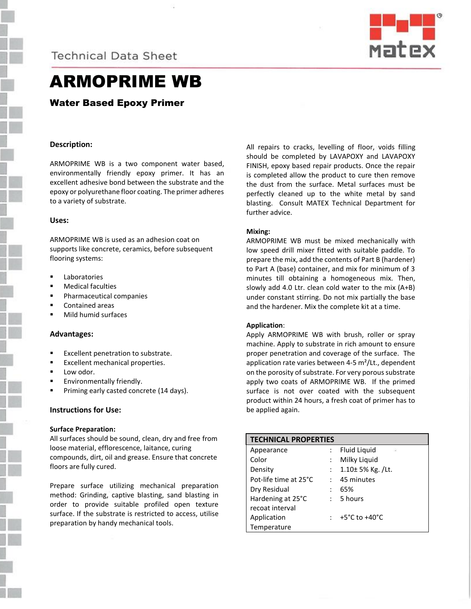**Technical Data Sheet** 



# ARMOPRIME WB

## Water Based Epoxy Primer

## **Description:**

ARMOPRIME WB is a two component water based, environmentally friendly epoxy primer. It has an excellent adhesive bond between the substrate and the epoxy or polyurethane floor coating. The primer adheres to a variety of substrate.

#### **Uses:**

ARMOPRIME WB is used as an adhesion coat on supports like concrete, ceramics, before subsequent flooring systems:

- Laboratories
- Medical faculties
- **Pharmaceutical companies**
- Contained areas
- Mild humid surfaces

#### **Advantages:**

- Excellent penetration to substrate.
- Excellent mechanical properties.
- Low odor.
- Environmentally friendly.
- Priming early casted concrete (14 days).

## **Instructions for Use:**

#### **Surface Preparation:**

All surfaces should be sound, clean, dry and free from loose material, efflorescence, laitance, curing compounds, dirt, oil and grease. Ensure that concrete floors are fully cured.

Prepare surface utilizing mechanical preparation method: Grinding, captive blasting, sand blasting in order to provide suitable profiled open texture surface. If the substrate is restricted to access, utilise preparation by handy mechanical tools.

All repairs to cracks, levelling of floor, voids filling should be completed by LAVAPOXY and LAVAPOXY FINISH, epoxy based repair products. Once the repair is completed allow the product to cure then remove the dust from the surface. Metal surfaces must be perfectly cleaned up to the white metal by sand blasting. Consult MATEX Technical Department for further advice.

### **Mixing:**

ARMOPRIME WB must be mixed mechanically with low speed drill mixer fitted with suitable paddle. To prepare the mix, add the contents of Part B (hardener) to Part A (base) container, and mix for minimum of 3 minutes till obtaining a homogeneous mix. Then, slowly add 4.0 Ltr. clean cold water to the mix (A+B) under constant stirring. Do not mix partially the base and the hardener. Mix the complete kit at a time.

#### **Application**:

Apply ARMOPRIME WB with brush, roller or spray machine. Apply to substrate in rich amount to ensure proper penetration and coverage of the surface. The application rate varies between 4-5  $m^2$ /Lt., dependent on the porosity of substrate. For very porous substrate apply two coats of ARMOPRIME WB. If the primed surface is not over coated with the subsequent product within 24 hours, a fresh coat of primer has to be applied again.

| <b>TECHNICAL PROPERTIES</b> |                      |                                     |
|-----------------------------|----------------------|-------------------------------------|
| Appearance                  |                      | Fluid Liquid<br>-72                 |
| Color                       |                      | Milky Liquid                        |
| Density                     | $\ddot{\phantom{0}}$ | 1.10± 5% Kg. /Lt.                   |
| Pot-life time at 25°C       | $\bullet$ .          | 45 minutes                          |
| Dry Residual                |                      | 65%                                 |
| Hardening at 25°C           | $\mathcal{L}$        | 5 hours                             |
| recoat interval             |                      |                                     |
| Application                 |                      | : $+5^{\circ}$ C to $+40^{\circ}$ C |
| Temperature                 |                      |                                     |